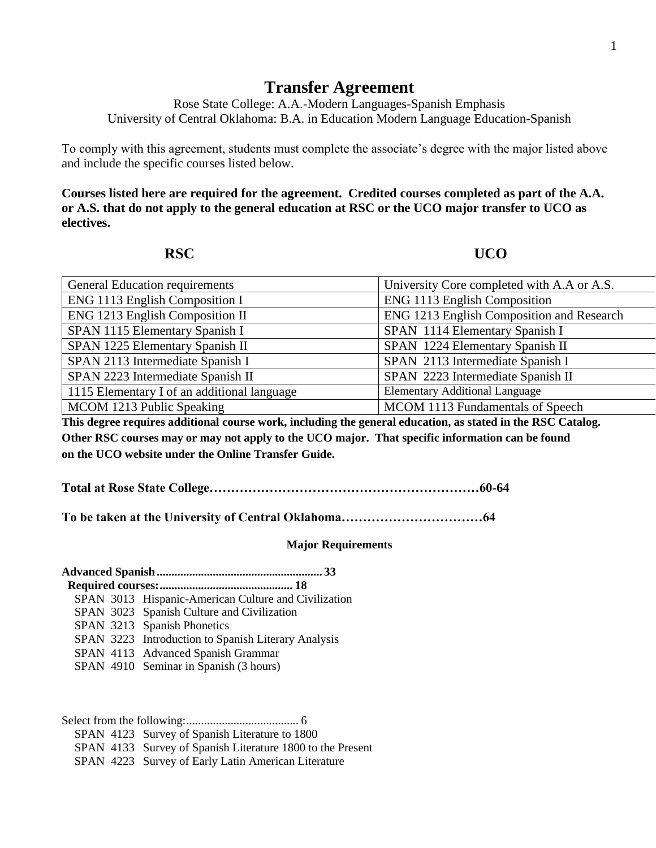## **Transfer Agreement**

Rose State College: A.A.-Modern Languages-Spanish Emphasis University of Central Oklahoma: B.A. in Education Modern Language Education-Spanish

To comply with this agreement, students must complete the associate's degree with the major listed above and include the specific courses listed below.

**Courses listed here are required for the agreement. Credited courses completed as part of the A.A. or A.S. that do not apply to the general education at RSC or the UCO major transfer to UCO as electives.**

**RSC UCO** 

| <b>General Education requirements</b>                                                                       | University Core completed with A.A or A.S. |  |  |
|-------------------------------------------------------------------------------------------------------------|--------------------------------------------|--|--|
| ENG 1113 English Composition I                                                                              | <b>ENG 1113 English Composition</b>        |  |  |
| <b>ENG 1213 English Composition II</b>                                                                      | ENG 1213 English Composition and Research  |  |  |
| SPAN 1115 Elementary Spanish I                                                                              | SPAN 1114 Elementary Spanish I             |  |  |
| SPAN 1225 Elementary Spanish II                                                                             | SPAN 1224 Elementary Spanish II            |  |  |
| SPAN 2113 Intermediate Spanish I                                                                            | SPAN 2113 Intermediate Spanish I           |  |  |
| SPAN 2223 Intermediate Spanish II                                                                           | SPAN 2223 Intermediate Spanish II          |  |  |
| 1115 Elementary I of an additional language                                                                 | <b>Elementary Additional Language</b>      |  |  |
| MCOM 1213 Public Speaking                                                                                   | MCOM 1113 Fundamentals of Speech           |  |  |
| This degree requires additional course work, including the general education, as stated in the RSC Catalog. |                                            |  |  |
| Other RSC courses may or may not apply to the UCO major. That specific information can be found             |                                            |  |  |
|                                                                                                             |                                            |  |  |

**on the UCO website under the Online Transfer Guide.**

**Total at Rose State College………………………………………………………60-64**

**To be taken at the University of Central Oklahoma……………………………64**

## **Major Requirements**

|  | SPAN 3013 Hispanic-American Culture and Civilization |  |  |  |
|--|------------------------------------------------------|--|--|--|
|  | SPAN 3023 Spanish Culture and Civilization           |  |  |  |
|  | SPAN 3213 Spanish Phonetics                          |  |  |  |
|  | SPAN 3223 Introduction to Spanish Literary Analysis  |  |  |  |
|  | SPAN 4113 Advanced Spanish Grammar                   |  |  |  |
|  | SPAN 4910 Seminar in Spanish (3 hours)               |  |  |  |

Select from the following:...................................... 6 SPAN 4123 Survey of Spanish Literature to 1800 SPAN 4133 Survey of Spanish Literature 1800 to the Present SPAN 4223 Survey of Early Latin American Literature